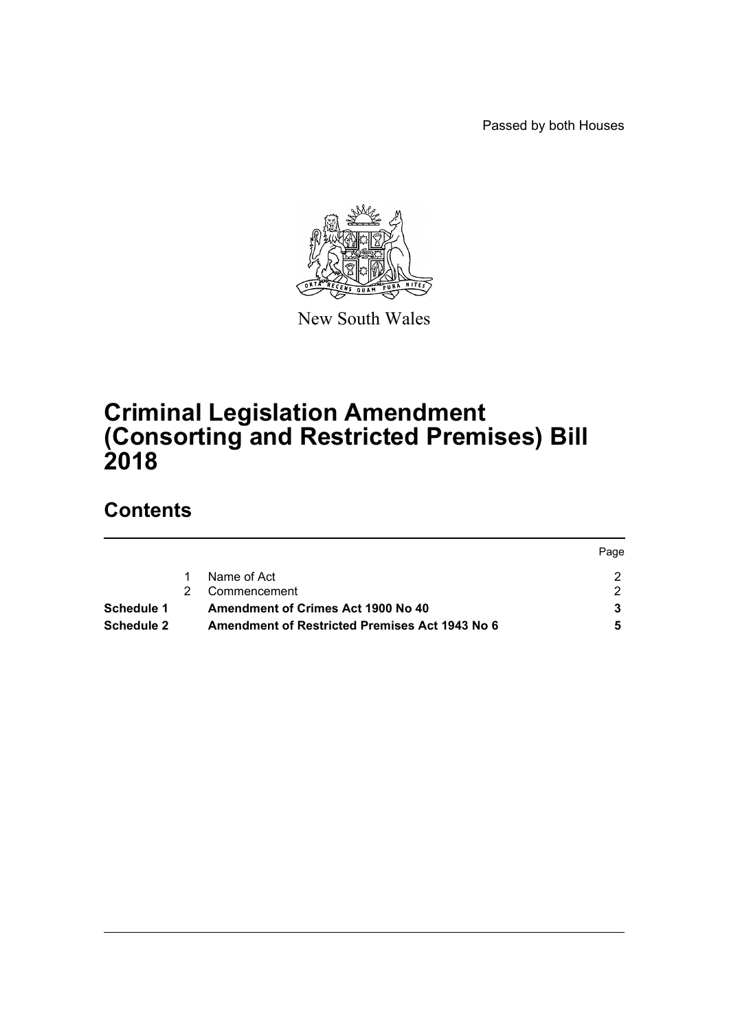Passed by both Houses



New South Wales

# **Criminal Legislation Amendment (Consorting and Restricted Premises) Bill 2018**

# **Contents**

|                   |                                                | Page |
|-------------------|------------------------------------------------|------|
|                   | Name of Act                                    |      |
|                   | Commencement                                   |      |
| Schedule 1        | Amendment of Crimes Act 1900 No 40             |      |
| <b>Schedule 2</b> | Amendment of Restricted Premises Act 1943 No 6 |      |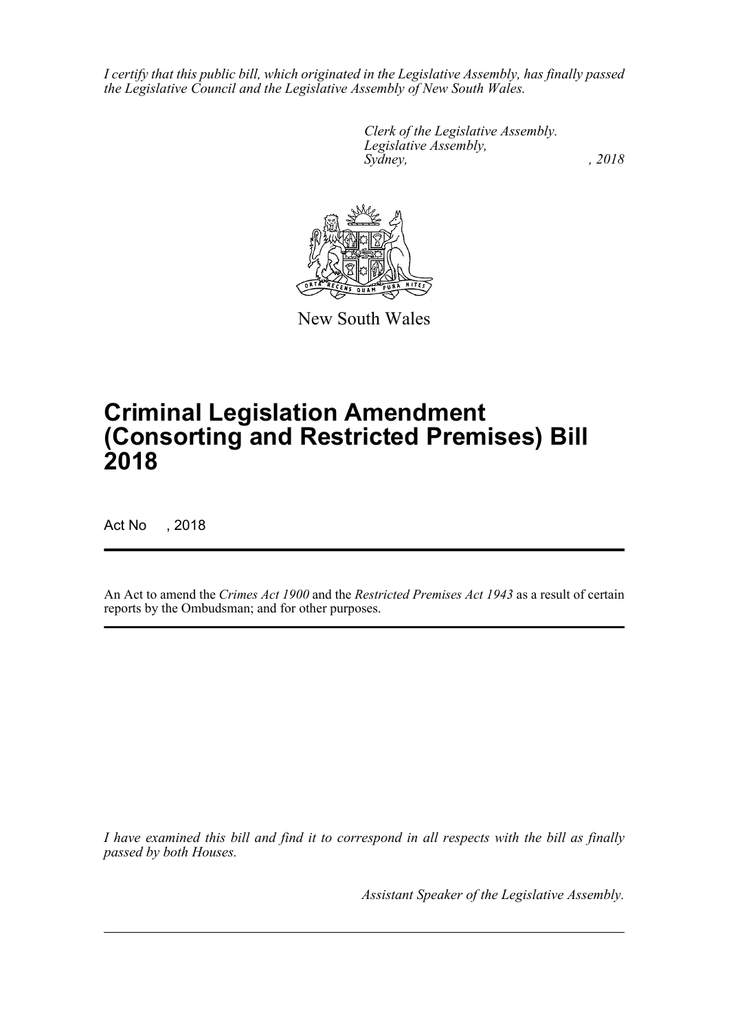*I certify that this public bill, which originated in the Legislative Assembly, has finally passed the Legislative Council and the Legislative Assembly of New South Wales.*

> *Clerk of the Legislative Assembly. Legislative Assembly, Sydney, , 2018*



New South Wales

# **Criminal Legislation Amendment (Consorting and Restricted Premises) Bill 2018**

Act No , 2018

An Act to amend the *Crimes Act 1900* and the *Restricted Premises Act 1943* as a result of certain reports by the Ombudsman; and for other purposes.

*I have examined this bill and find it to correspond in all respects with the bill as finally passed by both Houses.*

*Assistant Speaker of the Legislative Assembly.*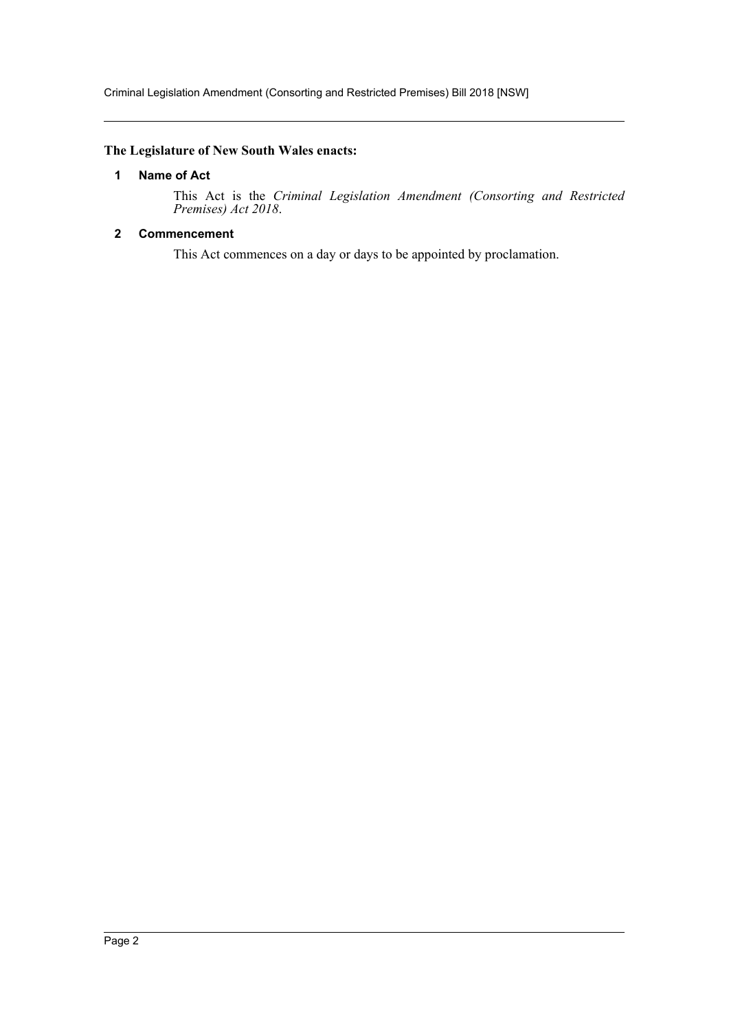Criminal Legislation Amendment (Consorting and Restricted Premises) Bill 2018 [NSW]

# <span id="page-2-0"></span>**The Legislature of New South Wales enacts:**

### **1 Name of Act**

This Act is the *Criminal Legislation Amendment (Consorting and Restricted Premises) Act 2018*.

# <span id="page-2-1"></span>**2 Commencement**

This Act commences on a day or days to be appointed by proclamation.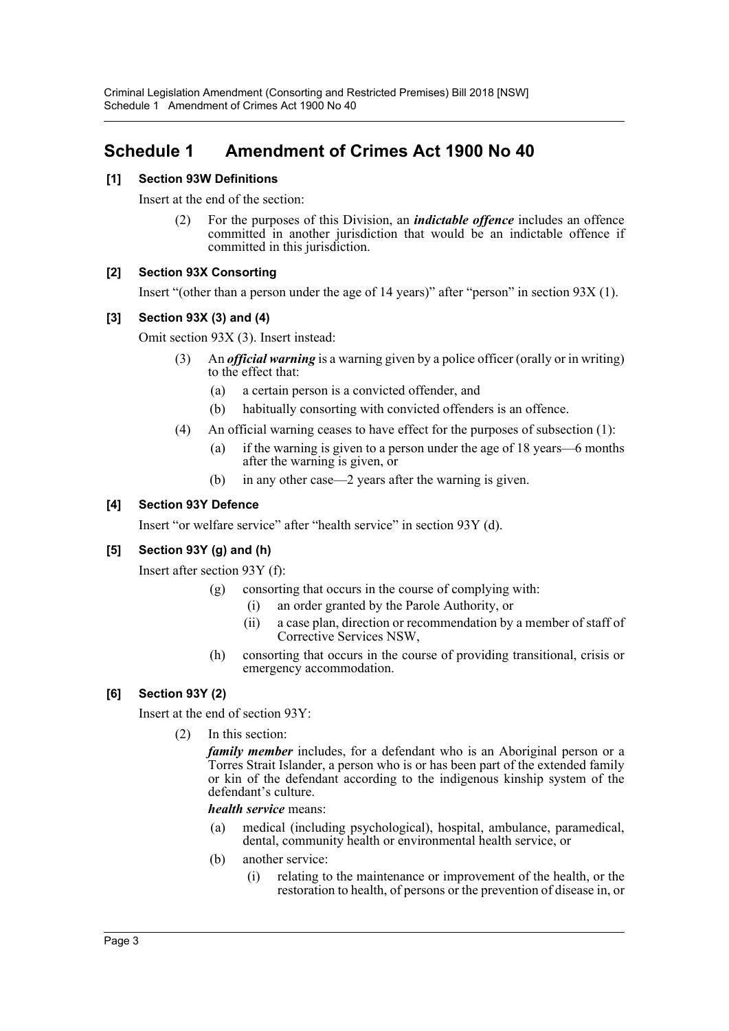# <span id="page-3-0"></span>**Schedule 1 Amendment of Crimes Act 1900 No 40**

# **[1] Section 93W Definitions**

Insert at the end of the section:

(2) For the purposes of this Division, an *indictable offence* includes an offence committed in another jurisdiction that would be an indictable offence if committed in this jurisdiction.

# **[2] Section 93X Consorting**

Insert "(other than a person under the age of 14 years)" after "person" in section 93X (1).

# **[3] Section 93X (3) and (4)**

Omit section 93X (3). Insert instead:

- (3) An *official warning* is a warning given by a police officer (orally or in writing) to the effect that:
	- (a) a certain person is a convicted offender, and
	- (b) habitually consorting with convicted offenders is an offence.
- (4) An official warning ceases to have effect for the purposes of subsection (1):
	- (a) if the warning is given to a person under the age of 18 years—6 months after the warning is given, or
	- (b) in any other case—2 years after the warning is given.

# **[4] Section 93Y Defence**

Insert "or welfare service" after "health service" in section 93Y (d).

# **[5] Section 93Y (g) and (h)**

Insert after section 93Y (f):

- (g) consorting that occurs in the course of complying with:
	- (i) an order granted by the Parole Authority, or
	- (ii) a case plan, direction or recommendation by a member of staff of Corrective Services NSW,
- (h) consorting that occurs in the course of providing transitional, crisis or emergency accommodation.

# **[6] Section 93Y (2)**

Insert at the end of section 93Y:

(2) In this section:

*family member* includes, for a defendant who is an Aboriginal person or a Torres Strait Islander, a person who is or has been part of the extended family or kin of the defendant according to the indigenous kinship system of the defendant's culture.

### *health service* means:

- (a) medical (including psychological), hospital, ambulance, paramedical, dental, community health or environmental health service, or
- (b) another service:
	- (i) relating to the maintenance or improvement of the health, or the restoration to health, of persons or the prevention of disease in, or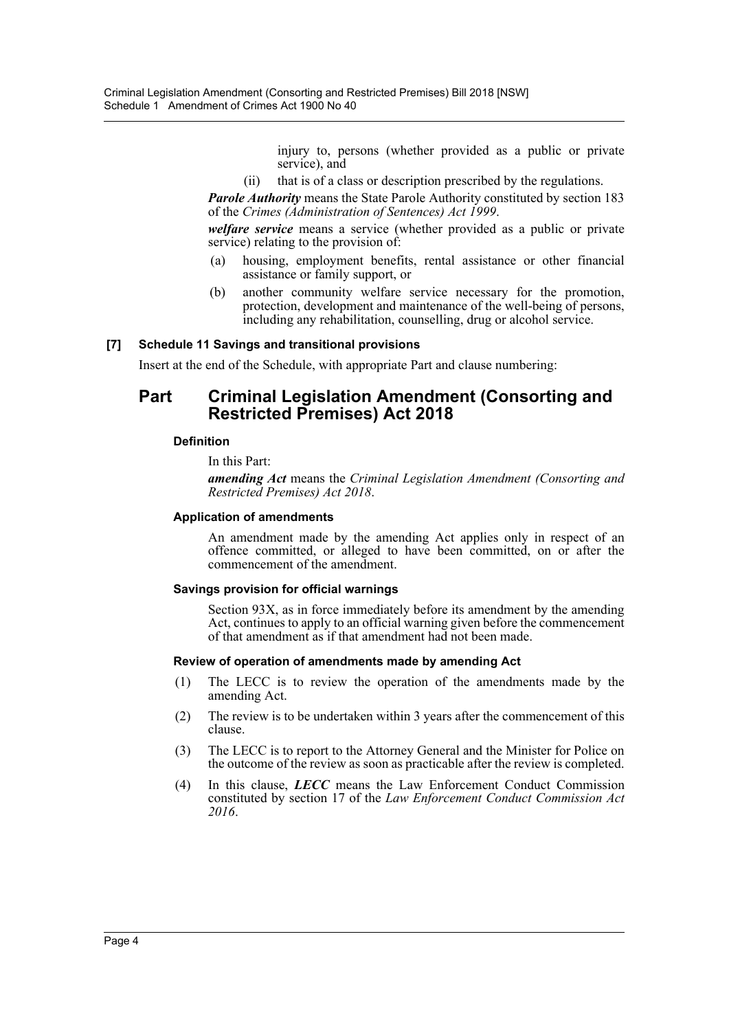injury to, persons (whether provided as a public or private service), and

(ii) that is of a class or description prescribed by the regulations.

*Parole Authority* means the State Parole Authority constituted by section 183 of the *Crimes (Administration of Sentences) Act 1999*.

*welfare service* means a service (whether provided as a public or private service) relating to the provision of:

- (a) housing, employment benefits, rental assistance or other financial assistance or family support, or
- (b) another community welfare service necessary for the promotion, protection, development and maintenance of the well-being of persons, including any rehabilitation, counselling, drug or alcohol service.

### **[7] Schedule 11 Savings and transitional provisions**

Insert at the end of the Schedule, with appropriate Part and clause numbering:

# **Part Criminal Legislation Amendment (Consorting and Restricted Premises) Act 2018**

### **Definition**

In this Part:

*amending Act* means the *Criminal Legislation Amendment (Consorting and Restricted Premises) Act 2018*.

#### **Application of amendments**

An amendment made by the amending Act applies only in respect of an offence committed, or alleged to have been committed, on or after the commencement of the amendment.

### **Savings provision for official warnings**

Section 93X, as in force immediately before its amendment by the amending Act, continues to apply to an official warning given before the commencement of that amendment as if that amendment had not been made.

#### **Review of operation of amendments made by amending Act**

- (1) The LECC is to review the operation of the amendments made by the amending Act.
- (2) The review is to be undertaken within 3 years after the commencement of this clause.
- (3) The LECC is to report to the Attorney General and the Minister for Police on the outcome of the review as soon as practicable after the review is completed.
- (4) In this clause, *LECC* means the Law Enforcement Conduct Commission constituted by section 17 of the *Law Enforcement Conduct Commission Act 2016*.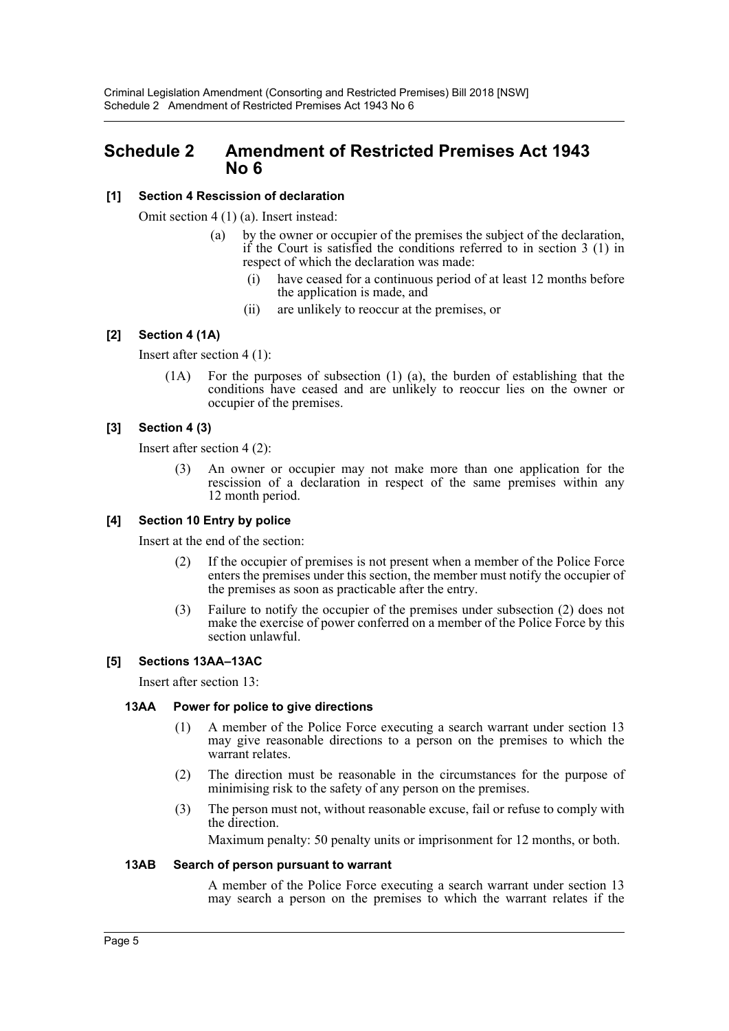# <span id="page-5-0"></span>**Schedule 2 Amendment of Restricted Premises Act 1943 No 6**

### **[1] Section 4 Rescission of declaration**

Omit section 4 (1) (a). Insert instead:

- (a) by the owner or occupier of the premises the subject of the declaration, if the Court is satisfied the conditions referred to in section 3 (1) in respect of which the declaration was made:
	- (i) have ceased for a continuous period of at least 12 months before the application is made, and
	- (ii) are unlikely to reoccur at the premises, or

### **[2] Section 4 (1A)**

Insert after section 4 (1):

(1A) For the purposes of subsection (1) (a), the burden of establishing that the conditions have ceased and are unlikely to reoccur lies on the owner or occupier of the premises.

# **[3] Section 4 (3)**

Insert after section 4 (2):

(3) An owner or occupier may not make more than one application for the rescission of a declaration in respect of the same premises within any 12 month period.

### **[4] Section 10 Entry by police**

Insert at the end of the section:

- (2) If the occupier of premises is not present when a member of the Police Force enters the premises under this section, the member must notify the occupier of the premises as soon as practicable after the entry.
- (3) Failure to notify the occupier of the premises under subsection (2) does not make the exercise of power conferred on a member of the Police Force by this section unlawful.

### **[5] Sections 13AA–13AC**

Insert after section 13:

### **13AA Power for police to give directions**

- (1) A member of the Police Force executing a search warrant under section 13 may give reasonable directions to a person on the premises to which the warrant relates.
- (2) The direction must be reasonable in the circumstances for the purpose of minimising risk to the safety of any person on the premises.
- (3) The person must not, without reasonable excuse, fail or refuse to comply with the direction.

Maximum penalty: 50 penalty units or imprisonment for 12 months, or both.

### **13AB Search of person pursuant to warrant**

A member of the Police Force executing a search warrant under section 13 may search a person on the premises to which the warrant relates if the